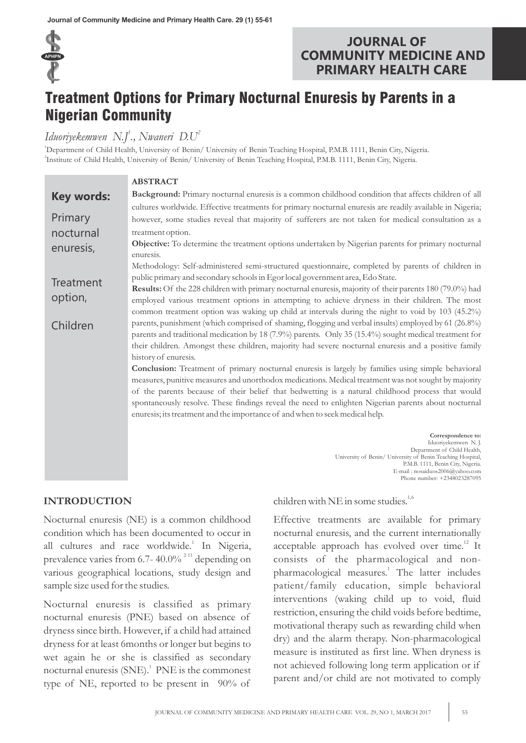

# **JOURNAL OF COMMUNITY MEDICINE AND PRIMARY HEALTH CARE**

# Treatment Options for Primary Nocturnal Enuresis by Parents in a Nigerian Community

# *1 2 Iduoriyekemwen N.J ., Nwaneri D.U*

<sup>1</sup>Department of Child Health, University of Benin/ University of Benin Teaching Hospital, P.M.B. 1111, Benin City, Nigeria. 2 Institute of Child Health, University of Benin/ University of Benin Teaching Hospital, P.M.B. 1111, Benin City, Nigeria.

|                   | <b>ABSTRACT</b>                                                                                                                                                                                         |
|-------------------|---------------------------------------------------------------------------------------------------------------------------------------------------------------------------------------------------------|
| <b>Key words:</b> | Background: Primary nocturnal enuresis is a common childhood condition that affects children of all                                                                                                     |
|                   | cultures worldwide. Effective treatments for primary nocturnal enuresis are readily available in Nigeria;                                                                                               |
| Primary           | however, some studies reveal that majority of sufferers are not taken for medical consultation as a                                                                                                     |
| nocturnal         | treatment option.                                                                                                                                                                                       |
| enuresis,         | Objective: To determine the treatment options undertaken by Nigerian parents for primary nocturnal<br>enuresis.                                                                                         |
|                   | Methodology: Self-administered semi-structured questionnaire, completed by parents of children in                                                                                                       |
| Treatment         | public primary and secondary schools in Egor local government area, Edo State.                                                                                                                          |
|                   | <b>Results:</b> Of the 228 children with primary nocturnal enuresis, majority of their parents 180 (79.0%) had                                                                                          |
| option,           | employed various treatment options in attempting to achieve dryness in their children. The most                                                                                                         |
|                   | common treatment option was waking up child at intervals during the night to void by 103 (45.2%)                                                                                                        |
| Children          | parents, punishment (which comprised of shaming, flogging and verbal insults) employed by 61 (26.8%)                                                                                                    |
|                   | parents and traditional medication by 18 (7.9%) parents. Only 35 (15.4%) sought medical treatment for                                                                                                   |
|                   | their children. Amongst these children, majority had severe nocturnal enuresis and a positive family                                                                                                    |
|                   | history of enuresis.                                                                                                                                                                                    |
|                   | <b>Conclusion:</b> Treatment of primary nocturnal enuresis is largely by families using simple behavioral                                                                                               |
|                   | measures, punitive measures and unorthodox medications. Medical treatment was not sought by majority                                                                                                    |
|                   | of the parents because of their belief that bedwetting is a natural childhood process that would<br>spontaneously resolve. These findings reveal the need to enlighten Nigerian parents about nocturnal |
|                   | enuresis; its treatment and the importance of and when to seek medical help.                                                                                                                            |
|                   |                                                                                                                                                                                                         |
|                   | Correspondence to:<br>Iduoriyekemwen N.J.<br>Department of Child Health,                                                                                                                                |
|                   | University of Benin/ University of Benin Teaching Hospital,<br>P.M.B. 1111, Benin City, Nigeria.<br>E-mail: nosaiduos2006@yahoo.com                                                                     |

# **INTRODUCTION**

Nocturnal enuresis (NE) is a common childhood condition which has been documented to occur in all cultures and race worldwide.<sup>1</sup> In Nigeria, prevalence varies from 6.7- 40.0%  $^{2-11}$  depending on various geographical locations, study design and sample size used for the studies.

Nocturnal enuresis is classified as primary nocturnal enuresis (PNE) based on absence of dryness since birth. However, if a child had attained dryness for at least 6months or longer but begins to wet again he or she is classified as secondary nocturnal enuresis  $(SNE)$ . PNE is the commonest type of NE, reported to be present in 90% of

children with NE in some studies. $1,6$ 

Effective treatments are available for primary nocturnal enuresis, and the current internationally acceptable approach has evolved over time.<sup>12</sup> It consists of the pharmacological and nonpharmacological measures.<sup>1</sup> The latter includes patient/family education, simple behavioral interventions (waking child up to void, fluid restriction, ensuring the child voids before bedtime, motivational therapy such as rewarding child when dry) and the alarm therapy. Non-pharmacological measure is instituted as first line. When dryness is not achieved following long term application or if parent and/or child are not motivated to comply

Phone number: +2348023287095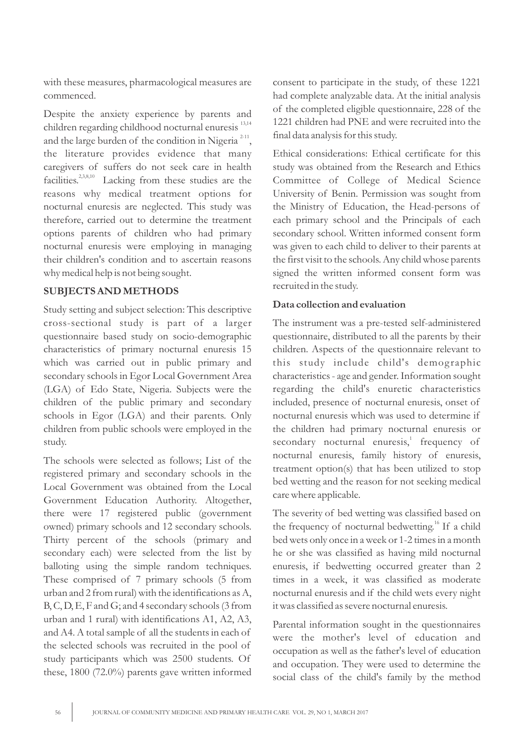with these measures, pharmacological measures are commenced.

Despite the anxiety experience by parents and children regarding childhood nocturnal enuresis<sup>13,14</sup> and the large burden of the condition in Nigeria  $2-11$ , the literature provides evidence that many caregivers of suffers do not seek care in health facilities.<sup>2,3,8,10</sup> Lacking from these studies are the reasons why medical treatment options for nocturnal enuresis are neglected. This study was therefore, carried out to determine the treatment options parents of children who had primary nocturnal enuresis were employing in managing their children's condition and to ascertain reasons why medical help is not being sought.

# **SUBJECTS AND METHODS**

Study setting and subject selection: This descriptive cross-sectional study is part of a larger questionnaire based study on socio-demographic characteristics of primary nocturnal enuresis 15 which was carried out in public primary and secondary schools in Egor Local Government Area (LGA) of Edo State, Nigeria. Subjects were the children of the public primary and secondary schools in Egor (LGA) and their parents. Only children from public schools were employed in the study.

The schools were selected as follows; List of the registered primary and secondary schools in the Local Government was obtained from the Local Government Education Authority. Altogether, there were 17 registered public (government owned) primary schools and 12 secondary schools. Thirty percent of the schools (primary and secondary each) were selected from the list by balloting using the simple random techniques. These comprised of 7 primary schools (5 from urban and 2 from rural) with the identifications as A, B, C, D, E, F and G; and 4 secondary schools (3 from urban and 1 rural) with identifications A1, A2, A3, and A4. A total sample of all the students in each of the selected schools was recruited in the pool of study participants which was 2500 students. Of these, 1800 (72.0%) parents gave written informed consent to participate in the study, of these 1221 had complete analyzable data. At the initial analysis of the completed eligible questionnaire, 228 of the 1221 children had PNE and were recruited into the final data analysis for this study.

Ethical considerations: Ethical certificate for this study was obtained from the Research and Ethics Committee of College of Medical Science University of Benin. Permission was sought from the Ministry of Education, the Head-persons of each primary school and the Principals of each secondary school. Written informed consent form was given to each child to deliver to their parents at the first visit to the schools. Any child whose parents signed the written informed consent form was recruited in the study.

# **Data collection and evaluation**

The instrument was a pre-tested self-administered questionnaire, distributed to all the parents by their children. Aspects of the questionnaire relevant to this study include child's demographic characteristics - age and gender. Information sought regarding the child's enuretic characteristics included, presence of nocturnal enuresis, onset of nocturnal enuresis which was used to determine if the children had primary nocturnal enuresis or secondary nocturnal enuresis,<sup>1</sup> frequency of nocturnal enuresis, family history of enuresis, treatment option(s) that has been utilized to stop bed wetting and the reason for not seeking medical care where applicable.

The severity of bed wetting was classified based on the frequency of nocturnal bedwetting.<sup>16</sup> If a child bed wets only once in a week or 1-2 times in a month he or she was classified as having mild nocturnal enuresis, if bedwetting occurred greater than 2 times in a week, it was classified as moderate nocturnal enuresis and if the child wets every night it was classified as severe nocturnal enuresis.

Parental information sought in the questionnaires were the mother's level of education and occupation as well as the father's level of education and occupation. They were used to determine the social class of the child's family by the method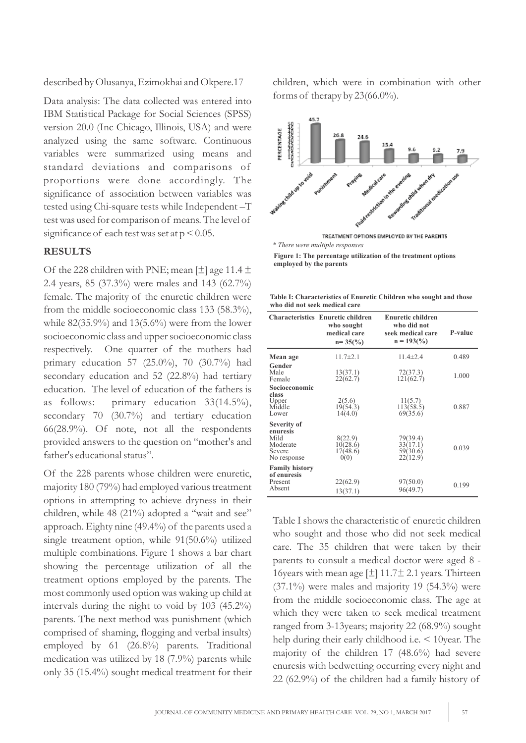described by Olusanya, Ezimokhai and Okpere.17

Data analysis: The data collected was entered into IBM Statistical Package for Social Sciences (SPSS) version 20.0 (Inc Chicago, Illinois, USA) and were analyzed using the same software. Continuous variables were summarized using means and standard deviations and comparisons of proportions were done accordingly. The significance of association between variables was tested using Chi-square tests while Independent –T test was used for comparison of means. The level of significance of each test was set at  $p < 0.05$ .

#### **RESULTS**

Of the 228 children with PNE; mean  $[\pm]$  age 11.4  $\pm$ 2.4 years, 85 (37.3%) were males and 143 (62.7%) female. The majority of the enuretic children were from the middle socioeconomic class 133 (58.3%), while 82(35.9%) and 13(5.6%) were from the lower socioeconomic class and upper socioeconomic class respectively. One quarter of the mothers had primary education 57 (25.0%), 70 (30.7%) had secondary education and 52 (22.8%) had tertiary education. The level of education of the fathers is as follows: primary education 33(14.5%), secondary 70 (30.7%) and tertiary education 66(28.9%). Of note, not all the respondents provided answers to the question on "mother's and father's educational status".

Of the 228 parents whose children were enuretic, majority 180 (79%) had employed various treatment options in attempting to achieve dryness in their children, while 48 (21%) adopted a "wait and see" approach. Eighty nine (49.4%) of the parents used a single treatment option, while 91(50.6%) utilized multiple combinations. Figure 1 shows a bar chart showing the percentage utilization of all the treatment options employed by the parents. The most commonly used option was waking up child at intervals during the night to void by 103 (45.2%) parents. The next method was punishment (which comprised of shaming, flogging and verbal insults) employed by 61 (26.8%) parents. Traditional medication was utilized by 18 (7.9%) parents while only 35 (15.4%) sought medical treatment for their children, which were in combination with other forms of therapy by  $23(66.0\%)$ .



**Figure 1: The percentage utilization of the treatment options employed by the parents**

**Table I: Characteristics of Enuretic Children who sought and those who did not seek medical care**

|                                                                      | <b>Characteristics Enuretic children</b><br>who sought<br>medical care<br>$n = 35\frac{6}{6}$ | <b>Enuretic children</b><br>who did not<br>seek medical care<br>$n = 193(%)$ | P-value |
|----------------------------------------------------------------------|-----------------------------------------------------------------------------------------------|------------------------------------------------------------------------------|---------|
| Mean age                                                             | $11.7 \pm 2.1$                                                                                | $11.4 \pm 2.4$                                                               | 0.489   |
| Gender<br>Male<br>Female                                             | 13(37.1)<br>22(62.7)                                                                          | 72(37.3)<br>121(62.7)                                                        | 1.000   |
| Socioeconomic<br>class<br>Upper<br>Middle<br>Lower                   | 2(5.6)<br>19(54.3)<br>14(4.0)                                                                 | 11(5.7)<br>113(58.5)<br>69(35.6)                                             | 0.887   |
| Severity of<br>enuresis<br>Mild<br>Moderate<br>Severe<br>No response | 8(22.9)<br>10(28.6)<br>17(48.6)<br>0(0)                                                       | 79(39.4)<br>33(17.1)<br>59(30.6)<br>22(12.9)                                 | 0.039   |
| <b>Family history</b><br>of enuresis<br>Present<br>Absent            | 22(62.9)<br>13(37.1)                                                                          | 97(50.0)<br>96(49.7)                                                         | 0.199   |

Table I shows the characteristic of enuretic children who sought and those who did not seek medical care. The 35 children that were taken by their parents to consult a medical doctor were aged 8 - 16 years with mean age  $[\pm]$  11.7 $\pm$  2.1 years. Thirteen  $(37.1\%)$  were males and majority 19  $(54.3\%)$  were from the middle socioeconomic class. The age at which they were taken to seek medical treatment ranged from 3-13years; majority 22 (68.9%) sought help during their early childhood i.e. < 10year. The majority of the children 17 (48.6%) had severe enuresis with bedwetting occurring every night and 22 (62.9%) of the children had a family history of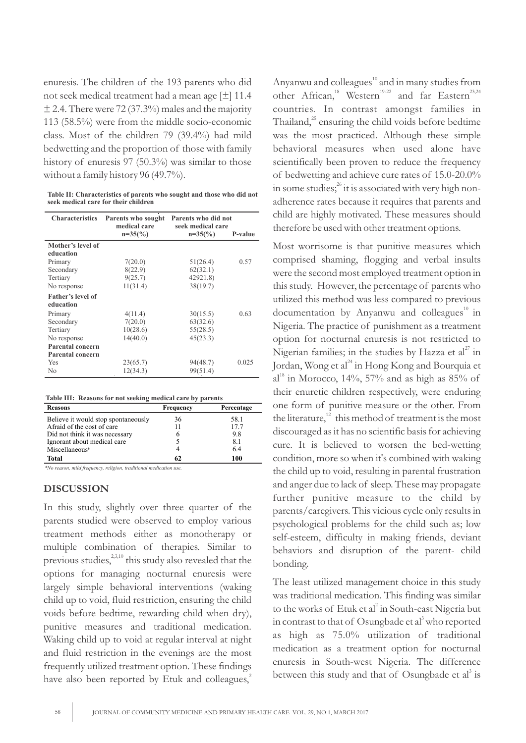enuresis. The children of the 193 parents who did not seek medical treatment had a mean age [±] 11.4  $\pm$  2.4. There were 72 (37.3%) males and the majority 113 (58.5%) were from the middle socio-economic class. Most of the children 79 (39.4%) had mild bedwetting and the proportion of those with family history of enuresis 97 (50.3%) was similar to those without a family history 96 (49.7%).

**Table II: Characteristics of parents who sought and those who did not seek medical care for their children**

| <b>Characteristics</b>   | Parents who sought<br>medical care<br>$n=35(%)$ | Parents who did not<br>seek medical care<br>$n=35(%)$ | P-value |
|--------------------------|-------------------------------------------------|-------------------------------------------------------|---------|
| Mother's level of        |                                                 |                                                       |         |
| education                |                                                 |                                                       |         |
| Primary                  | 7(20.0)                                         | 51(26.4)                                              | 0.57    |
| Secondary                | 8(22.9)                                         | 62(32.1)                                              |         |
| Tertiary                 | 9(25.7)                                         | 42921.8)                                              |         |
| No response              | 11(31.4)                                        | 38(19.7)                                              |         |
| <b>Father's level of</b> |                                                 |                                                       |         |
| education                |                                                 |                                                       |         |
| Primary                  | 4(11.4)                                         | 30(15.5)                                              | 0.63    |
| Secondary                | 7(20.0)                                         | 63(32.6)                                              |         |
| Tertiary                 | 10(28.6)                                        | 55(28.5)                                              |         |
| No response              | 14(40.0)                                        | 45(23.3)                                              |         |
| Parental concern         |                                                 |                                                       |         |
| <b>Parental concern</b>  |                                                 |                                                       |         |
| Yes                      | 23(65.7)                                        | 94(48.7)                                              | 0.025   |
| N <sub>0</sub>           | 12(34.3)                                        | 99(51.4)                                              |         |

|  | Table III: Reasons for not seeking medical care by parents |  |  |  |  |  |  |
|--|------------------------------------------------------------|--|--|--|--|--|--|
|--|------------------------------------------------------------|--|--|--|--|--|--|

| <b>Reasons</b>                      | Frequency | Percentage |
|-------------------------------------|-----------|------------|
| Believe it would stop spontaneously | 36        | 58.1       |
| Afraid of the cost of care          | 11        | 17.7       |
| Did not think it was necessary      | 6         | 9.8        |
| Ignorant about medical care         |           | 81         |
| Miscellaneous*                      |           | 64         |
| Total                               | 62        | 100        |

*\*No reason, mild frequency, religion, traditional medication use.*

#### **DISCUSSION**

In this study, slightly over three quarter of the parents studied were observed to employ various treatment methods either as monotherapy or multiple combination of therapies. Similar to previous studies,<sup>2,3,10</sup> this study also revealed that the options for managing nocturnal enuresis were largely simple behavioral interventions (waking child up to void, fluid restriction, ensuring the child voids before bedtime, rewarding child when dry), punitive measures and traditional medication. Waking child up to void at regular interval at night and fluid restriction in the evenings are the most frequently utilized treatment option. These findings have also been reported by Etuk and colleagues,<sup>2</sup> Anyanwu and colleagues<sup>10</sup> and in many studies from other African,<sup>18</sup> Western<sup>19-22</sup> and far Eastern<sup>23,24</sup> countries. In contrast amongst families in Thailand, $^{25}$  ensuring the child voids before bedtime was the most practiced. Although these simple behavioral measures when used alone have scientifically been proven to reduce the frequency of bedwetting and achieve cure rates of 15.0-20.0% in some studies;  $i$  it is associated with very high nonadherence rates because it requires that parents and child are highly motivated. These measures should therefore be used with other treatment options.

Most worrisome is that punitive measures which comprised shaming, flogging and verbal insults were the second most employed treatment option in this study. However, the percentage of parents who utilized this method was less compared to previous  $10$  documentation by Anyanwu and colleagues<sup> $10$ </sup> in Nigeria. The practice of punishment as a treatment option for nocturnal enuresis is not restricted to Nigerian families; in the studies by Hazza et  $al^{27}$  in Jordan, Wong et al<sup>24</sup> in Hong Kong and Bourquia et  $al^{18}$  in Morocco, 14%, 57% and as high as 85% of their enuretic children respectively, were enduring one form of punitive measure or the other. From the literature, $^{12}$  this method of treatment is the most discouraged as it has no scientific basis for achieving cure. It is believed to worsen the bed-wetting condition, more so when it's combined with waking the child up to void, resulting in parental frustration and anger due to lack of sleep. These may propagate further punitive measure to the child by parents/caregivers. This vicious cycle only results in psychological problems for the child such as; low self-esteem, difficulty in making friends, deviant behaviors and disruption of the parent- child bonding.

The least utilized management choice in this study was traditional medication. This finding was similar to the works of Etuk et al<sup>2</sup> in South-east Nigeria but in contrast to that of Osungbade et al<sup>3</sup> who reported as high as 75.0% utilization of traditional medication as a treatment option for nocturnal enuresis in South-west Nigeria. The difference between this study and that of Osungbade et al<sup>3</sup> is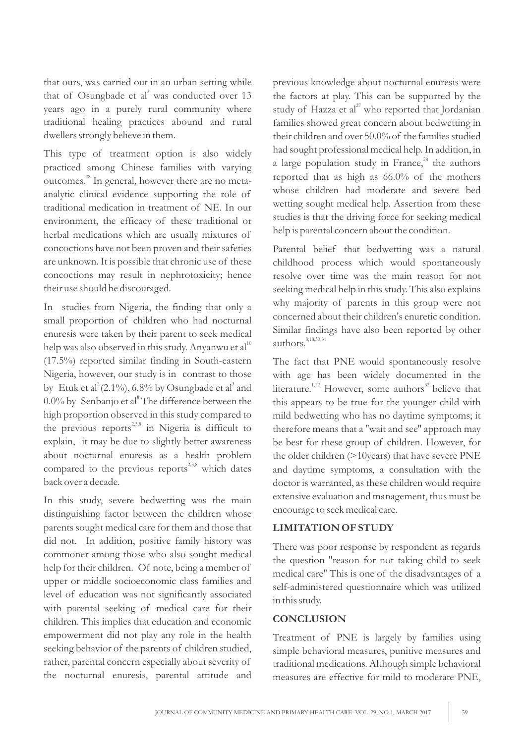that ours, was carried out in an urban setting while that of Osungbade et al<sup>3</sup> was conducted over 13 years ago in a purely rural community where traditional healing practices abound and rural dwellers strongly believe in them.

This type of treatment option is also widely practiced among Chinese families with varying outcomes.<sup>28</sup> In general, however there are no metaanalytic clinical evidence supporting the role of traditional medication in treatment of NE. In our environment, the efficacy of these traditional or herbal medications which are usually mixtures of concoctions have not been proven and their safeties are unknown. It is possible that chronic use of these concoctions may result in nephrotoxicity; hence their use should be discouraged.

In studies from Nigeria, the finding that only a small proportion of children who had nocturnal enuresis were taken by their parent to seek medical help was also observed in this study. Anyanwu et  $al^{10}$ (17.5%) reported similar finding in South-eastern Nigeria, however, our study is in contrast to those by Etuk et al<sup>2</sup> (2.1%), 6.8% by Osungbade et al<sup>3</sup> and 0.0% by Senbanjo et al<sup>8</sup> The difference between the high proportion observed in this study compared to the previous reports<sup>2,3,8</sup> in Nigeria is difficult to explain, it may be due to slightly better awareness about nocturnal enuresis as a health problem compared to the previous reports $^{2,3,8}$  which dates back over a decade.

In this study, severe bedwetting was the main distinguishing factor between the children whose parents sought medical care for them and those that did not. In addition, positive family history was commoner among those who also sought medical help for their children. Of note, being a member of upper or middle socioeconomic class families and level of education was not significantly associated with parental seeking of medical care for their children. This implies that education and economic empowerment did not play any role in the health seeking behavior of the parents of children studied, rather, parental concern especially about severity of the nocturnal enuresis, parental attitude and

previous knowledge about nocturnal enuresis were the factors at play. This can be supported by the study of Hazza et al<sup>27</sup> who reported that Jordanian families showed great concern about bedwetting in their children and over 50.0% of the families studied had sought professional medical help. In addition, in a large population study in France, $2^8$  the authors reported that as high as 66.0% of the mothers whose children had moderate and severe bed wetting sought medical help. Assertion from these studies is that the driving force for seeking medical help is parental concern about the condition.

Parental belief that bedwetting was a natural childhood process which would spontaneously resolve over time was the main reason for not seeking medical help in this study. This also explains why majority of parents in this group were not concerned about their children's enuretic condition. Similar findings have also been reported by other authors. 8,18,30,31

The fact that PNE would spontaneously resolve with age has been widely documented in the literature.<sup>1,12</sup> However, some authors<sup>32</sup> believe that this appears to be true for the younger child with mild bedwetting who has no daytime symptoms; it therefore means that a ''wait and see'' approach may be best for these group of children. However, for the older children (>10years) that have severe PNE and daytime symptoms, a consultation with the doctor is warranted, as these children would require extensive evaluation and management, thus must be encourage to seek medical care.

# **LIMITATION OF STUDY**

There was poor response by respondent as regards the question ''reason for not taking child to seek medical care'' This is one of the disadvantages of a self-administered questionnaire which was utilized in this study.

#### **CONCLUSION**

Treatment of PNE is largely by families using simple behavioral measures, punitive measures and traditional medications. Although simple behavioral measures are effective for mild to moderate PNE,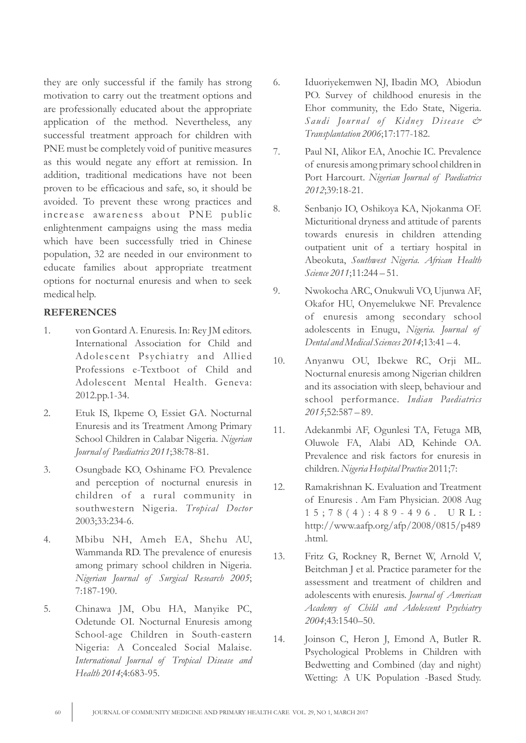they are only successful if the family has strong motivation to carry out the treatment options and are professionally educated about the appropriate application of the method. Nevertheless, any successful treatment approach for children with PNE must be completely void of punitive measures as this would negate any effort at remission. In addition, traditional medications have not been proven to be efficacious and safe, so, it should be avoided. To prevent these wrong practices and increase awareness about PNE public enlightenment campaigns using the mass media which have been successfully tried in Chinese population, 32 are needed in our environment to educate families about appropriate treatment options for nocturnal enuresis and when to seek medical help.

#### **REFERENCES**

- 1. von Gontard A. Enuresis. In: Rey JM editors. International Association for Child and Adolescent Psychiatry and Allied Professions e-Textboot of Child and Adolescent Mental Health. Geneva: 2012.pp.1-34.
- 2. Etuk IS, Ikpeme O, Essiet GA. Nocturnal Enuresis and its Treatment Among Primary School Children in Calabar Nigeria. *Nigerian Journal of Paediatrics 2011*;38:78-81.
- 3. Osungbade KO, Oshiname FO. Prevalence and perception of nocturnal enuresis in children of a rural community in southwestern Nigeria. *Tropical Doctor* 2003;33:234-6.
- 4. Mbibu NH, Ameh EA, Shehu AU, Wammanda RD. The prevalence of enuresis among primary school children in Nigeria. *Nigerian Journal of Surgical Research 2005*; 7:187-190.
- 5. Chinawa JM, Obu HA, Manyike PC, Odetunde OI. Nocturnal Enuresis among School-age Children in South-eastern Nigeria: A Concealed Social Malaise. *International Journal of Tropical Disease and Health 2014*;4:683-95.
- 6. Iduoriyekemwen NJ, Ibadin MO, Abiodun PO. Survey of childhood enuresis in the Ehor community, the Edo State, Nigeria. *Saudi Jour nal of Kidney Disease & Transplantation 2006*;17:177-182.
- 7. Paul NI, Alikor EA, Anochie IC. Prevalence of enuresis among primary school children in Port Harcourt. *Nigerian Journal of Paediatrics 2012*;39:18-21.
- 8. Senbanjo IO, Oshikoya KA, Njokanma OF. Micturitional dryness and attitude of parents towards enuresis in children attending outpatient unit of a tertiary hospital in Abeokuta, *Southwest Nigeria. African Health Science 2011*;11:244 – 51.
- 9. Nwokocha ARC, Onukwuli VO, Ujunwa AF, Okafor HU, Onyemelukwe NF. Prevalence of enuresis among secondary school adolescents in Enugu, *Nigeria. Journal of Dental and Medical Sciences 2014*;13:41 – 4.
- 10. Anyanwu OU, Ibekwe RC, Orji ML. Nocturnal enuresis among Nigerian children and its association with sleep, behaviour and school performance. *Indian Paediatrics 2015*;52:587 – 89.
- 11. Adekanmbi AF, Ogunlesi TA, Fetuga MB, Oluwole FA, Alabi AD, Kehinde OA. Prevalence and risk factors for enuresis in children. *Nigeria Hospital Practice* 2011;7:
- 12. Ramakrishnan K. Evaluation and Treatment of Enuresis . Am Fam Physician. 2008 Aug 1 5 ; 7 8 ( 4 ) : 4 8 9 - 4 9 6 . U R L : http://www.aafp.org/afp/2008/0815/p489 .html.
- 13. Fritz G, Rockney R, Bernet W, Arnold V, Beitchman J et al. Practice parameter for the assessment and treatment of children and adolescents with enuresis. *Journal of American Academy of Child and Adolescent Psychiatry 2004*;43:1540–50.
- 14. Joinson C, Heron J, Emond A, Butler R. Psychological Problems in Children with Bedwetting and Combined (day and night) Wetting: A UK Population -Based Study.